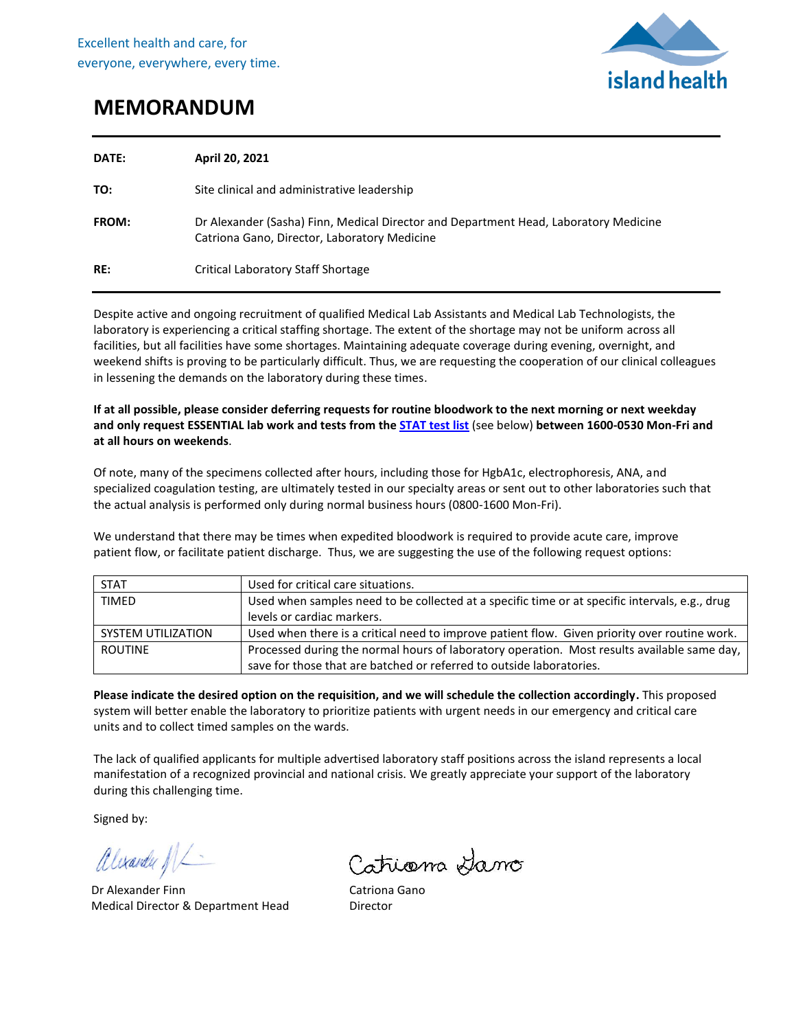

## **MEMORANDUM**

| DATE:        | April 20, 2021                                                                                                                       |
|--------------|--------------------------------------------------------------------------------------------------------------------------------------|
| TO:          | Site clinical and administrative leadership                                                                                          |
| <b>FROM:</b> | Dr Alexander (Sasha) Finn, Medical Director and Department Head, Laboratory Medicine<br>Catriona Gano, Director, Laboratory Medicine |
| RE:          | Critical Laboratory Staff Shortage                                                                                                   |

Despite active and ongoing recruitment of qualified Medical Lab Assistants and Medical Lab Technologists, the laboratory is experiencing a critical staffing shortage. The extent of the shortage may not be uniform across all facilities, but all facilities have some shortages. Maintaining adequate coverage during evening, overnight, and weekend shifts is proving to be particularly difficult. Thus, we are requesting the cooperation of our clinical colleagues in lessening the demands on the laboratory during these times.

## **If at all possible, please consider deferring requests for routine bloodwork to the next morning or next weekday and only request ESSENTIAL lab work and tests from th[e STAT test list](https://intranet.viha.ca/departments/laboratory_services/Documents/Laboratory%20STAT%20Test%20List.pdf)** (see below) **between 1600-0530 Mon-Fri and at all hours on weekends**.

Of note, many of the specimens collected after hours, including those for HgbA1c, electrophoresis, ANA, and specialized coagulation testing, are ultimately tested in our specialty areas or sent out to other laboratories such that the actual analysis is performed only during normal business hours (0800-1600 Mon-Fri).

We understand that there may be times when expedited bloodwork is required to provide acute care, improve patient flow, or facilitate patient discharge. Thus, we are suggesting the use of the following request options:

| <b>STAT</b>        | Used for critical care situations.                                                             |  |
|--------------------|------------------------------------------------------------------------------------------------|--|
| <b>TIMED</b>       | Used when samples need to be collected at a specific time or at specific intervals, e.g., drug |  |
|                    | levels or cardiac markers.                                                                     |  |
| SYSTEM UTILIZATION | Used when there is a critical need to improve patient flow. Given priority over routine work.  |  |
| <b>ROUTINE</b>     | Processed during the normal hours of laboratory operation. Most results available same day,    |  |
|                    | save for those that are batched or referred to outside laboratories.                           |  |

**Please indicate the desired option on the requisition, and we will schedule the collection accordingly.** This proposed system will better enable the laboratory to prioritize patients with urgent needs in our emergency and critical care units and to collect timed samples on the wards.

The lack of qualified applicants for multiple advertised laboratory staff positions across the island represents a local manifestation of a recognized provincial and national crisis. We greatly appreciate your support of the laboratory during this challenging time.

Signed by:

alexander NL

Dr Alexander Finn Medical Director & Department Head

Catriana Hano

Catriona Gano Director